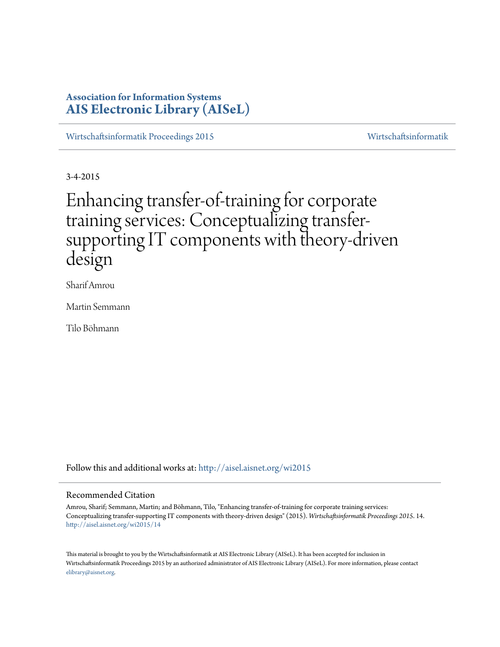# **Association for Information Systems [AIS Electronic Library \(AISeL\)](http://aisel.aisnet.org?utm_source=aisel.aisnet.org%2Fwi2015%2F14&utm_medium=PDF&utm_campaign=PDFCoverPages)**

[Wirtschaftsinformatik Proceedings 2015](http://aisel.aisnet.org/wi2015?utm_source=aisel.aisnet.org%2Fwi2015%2F14&utm_medium=PDF&utm_campaign=PDFCoverPages) [Wirtschaftsinformatik](http://aisel.aisnet.org/wi?utm_source=aisel.aisnet.org%2Fwi2015%2F14&utm_medium=PDF&utm_campaign=PDFCoverPages)

3-4-2015

# Enhancing transfer-of-training for corporate training services: Conceptualizing transfersupporting IT components with theory-driven design

Sharif Amrou

Martin Semmann

Tilo Böhmann

Follow this and additional works at: [http://aisel.aisnet.org/wi2015](http://aisel.aisnet.org/wi2015?utm_source=aisel.aisnet.org%2Fwi2015%2F14&utm_medium=PDF&utm_campaign=PDFCoverPages)

#### Recommended Citation

Amrou, Sharif; Semmann, Martin; and Böhmann, Tilo, "Enhancing transfer-of-training for corporate training services: Conceptualizing transfer-supporting IT components with theory-driven design" (2015). *Wirtschaftsinformatik Proceedings 2015*. 14. [http://aisel.aisnet.org/wi2015/14](http://aisel.aisnet.org/wi2015/14?utm_source=aisel.aisnet.org%2Fwi2015%2F14&utm_medium=PDF&utm_campaign=PDFCoverPages)

This material is brought to you by the Wirtschaftsinformatik at AIS Electronic Library (AISeL). It has been accepted for inclusion in Wirtschaftsinformatik Proceedings 2015 by an authorized administrator of AIS Electronic Library (AISeL). For more information, please contact [elibrary@aisnet.org.](mailto:elibrary@aisnet.org%3E)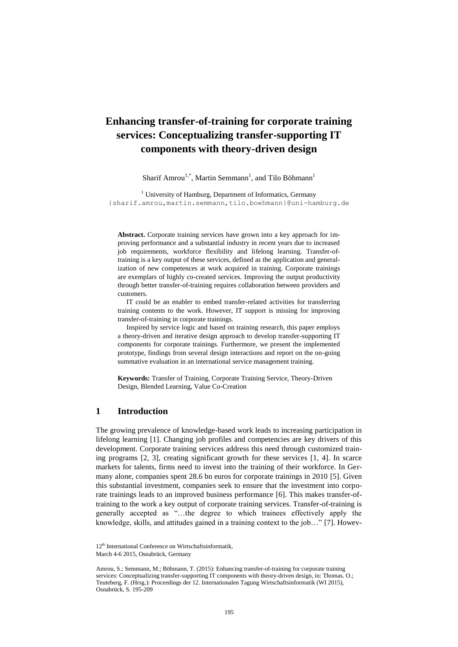# **Enhancing transfer-of-training for corporate training services: Conceptualizing transfer-supporting IT components with theory-driven design**

#### Sharif Amrou<sup>1,\*</sup>, Martin Semmann<sup>1</sup>, and Tilo Böhmann<sup>1</sup>

<sup>1</sup> University of Hamburg, Department of Informatics, Germany {sharif.amrou,martin.semmann,tilo.boehmann}@uni-hamburg.de

**Abstract.** Corporate training services have grown into a key approach for improving performance and a substantial industry in recent years due to increased job requirements, workforce flexibility and lifelong learning. Transfer-oftraining is a key output of these services, defined as the application and generalization of new competences at work acquired in training. Corporate trainings are exemplars of highly co-created services. Improving the output productivity through better transfer-of-training requires collaboration between providers and customers.

IT could be an enabler to embed transfer-related activities for transferring training contents to the work. However, IT support is missing for improving transfer-of-training in corporate trainings.

Inspired by service logic and based on training research, this paper employs a theory-driven and iterative design approach to develop transfer-supporting IT components for corporate trainings. Furthermore, we present the implemented prototype, findings from several design interactions and report on the on-going summative evaluation in an international service management training.

**Keywords:** Transfer of Training, Corporate Training Service, Theory-Driven Design, Blended Learning, Value Co-Creation

## **1 Introduction**

The growing prevalence of knowledge-based work leads to increasing participation in lifelong learning [1]. Changing job profiles and competencies are key drivers of this development. Corporate training services address this need through customized training programs [2, 3], creating significant growth for these services [1, 4]. In scarce markets for talents, firms need to invest into the training of their workforce. In Germany alone, companies spent 28.6 bn euros for corporate trainings in 2010 [5]. Given this substantial investment, companies seek to ensure that the investment into corporate trainings leads to an improved business performance [6]. This makes transfer-oftraining to the work a key output of corporate training services. Transfer-of-training is generally accepted as "…the degree to which trainees effectively apply the knowledge, skills, and attitudes gained in a training context to the job…" [7]. Howev-

<sup>12&</sup>lt;sup>th</sup> International Conference on Wirtschaftsinformatik, March 4-6 2015, Osnabrück, Germany

Amrou, S.; Semmann, M.; Böhmann, T. (2015): Enhancing transfer-of-training for corporate training services: Conceptualizing transfer-supporting IT components with theory-driven design, in: Thomas. O.; Teuteberg, F. (Hrsg.): Proceedings der 12. Internationalen Tagung Wirtschaftsinformatik (WI 2015), Osnabrück, S. 195-209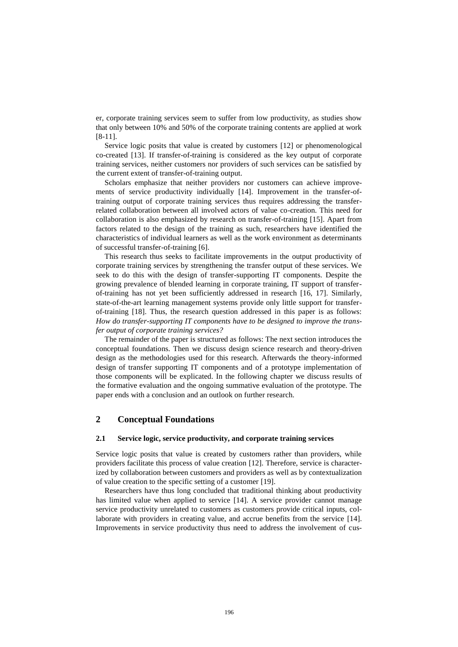er, corporate training services seem to suffer from low productivity, as studies show that only between 10% and 50% of the corporate training contents are applied at work [8-11].

Service logic posits that value is created by customers [12] or phenomenological co-created [13]. If transfer-of-training is considered as the key output of corporate training services, neither customers nor providers of such services can be satisfied by the current extent of transfer-of-training output.

Scholars emphasize that neither providers nor customers can achieve improvements of service productivity individually [14]. Improvement in the transfer-oftraining output of corporate training services thus requires addressing the transferrelated collaboration between all involved actors of value co-creation. This need for collaboration is also emphasized by research on transfer-of-training [15]. Apart from factors related to the design of the training as such, researchers have identified the characteristics of individual learners as well as the work environment as determinants of successful transfer-of-training [6].

This research thus seeks to facilitate improvements in the output productivity of corporate training services by strengthening the transfer output of these services. We seek to do this with the design of transfer-supporting IT components. Despite the growing prevalence of blended learning in corporate training, IT support of transferof-training has not yet been sufficiently addressed in research [16, 17]. Similarly, state-of-the-art learning management systems provide only little support for transferof-training [18]. Thus, the research question addressed in this paper is as follows: *How do transfer-supporting IT components have to be designed to improve the transfer output of corporate training services?*

The remainder of the paper is structured as follows: The next section introduces the conceptual foundations. Then we discuss design science research and theory-driven design as the methodologies used for this research. Afterwards the theory-informed design of transfer supporting IT components and of a prototype implementation of those components will be explicated. In the following chapter we discuss results of the formative evaluation and the ongoing summative evaluation of the prototype. The paper ends with a conclusion and an outlook on further research.

# **2 Conceptual Foundations**

#### **2.1 Service logic, service productivity, and corporate training services**

Service logic posits that value is created by customers rather than providers, while providers facilitate this process of value creation [12]. Therefore, service is characterized by collaboration between customers and providers as well as by contextualization of value creation to the specific setting of a customer [19].

Researchers have thus long concluded that traditional thinking about productivity has limited value when applied to service [14]. A service provider cannot manage service productivity unrelated to customers as customers provide critical inputs, collaborate with providers in creating value, and accrue benefits from the service [14]. Improvements in service productivity thus need to address the involvement of cus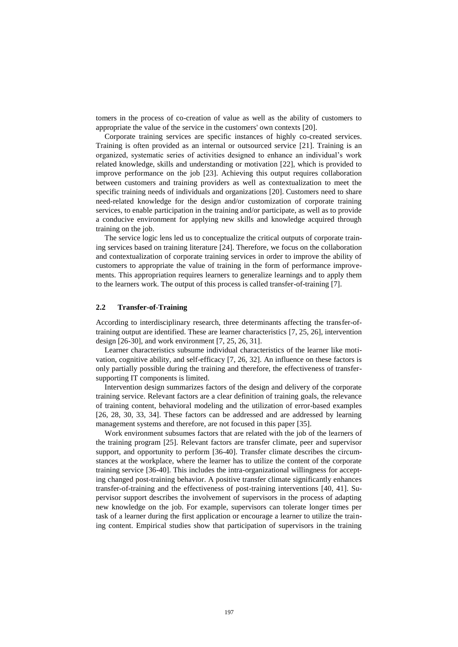tomers in the process of co-creation of value as well as the ability of customers to appropriate the value of the service in the customers' own contexts [20].

Corporate training services are specific instances of highly co-created services. Training is often provided as an internal or outsourced service [21]. Training is an organized, systematic series of activities designed to enhance an individual's work related knowledge, skills and understanding or motivation [22], which is provided to improve performance on the job [23]. Achieving this output requires collaboration between customers and training providers as well as contextualization to meet the specific training needs of individuals and organizations [20]. Customers need to share need-related knowledge for the design and/or customization of corporate training services, to enable participation in the training and/or participate, as well as to provide a conducive environment for applying new skills and knowledge acquired through training on the job.

The service logic lens led us to conceptualize the critical outputs of corporate training services based on training literature [24]. Therefore, we focus on the collaboration and contextualization of corporate training services in order to improve the ability of customers to appropriate the value of training in the form of performance improvements. This appropriation requires learners to generalize learnings and to apply them to the learners work. The output of this process is called transfer-of-training [7].

#### **2.2 Transfer-of-Training**

According to interdisciplinary research, three determinants affecting the transfer-oftraining output are identified. These are learner characteristics [7, 25, 26], intervention design [26-30], and work environment [7, 25, 26, 31].

Learner characteristics subsume individual characteristics of the learner like motivation, cognitive ability, and self-efficacy [7, 26, 32]. An influence on these factors is only partially possible during the training and therefore, the effectiveness of transfersupporting IT components is limited.

Intervention design summarizes factors of the design and delivery of the corporate training service. Relevant factors are a clear definition of training goals, the relevance of training content, behavioral modeling and the utilization of error-based examples [26, 28, 30, 33, 34]. These factors can be addressed and are addressed by learning management systems and therefore, are not focused in this paper [35].

Work environment subsumes factors that are related with the job of the learners of the training program [25]. Relevant factors are transfer climate, peer and supervisor support, and opportunity to perform [36-40]. Transfer climate describes the circumstances at the workplace, where the learner has to utilize the content of the corporate training service [36-40]. This includes the intra-organizational willingness for accepting changed post-training behavior. A positive transfer climate significantly enhances transfer-of-training and the effectiveness of post-training interventions [40, 41]. Supervisor support describes the involvement of supervisors in the process of adapting new knowledge on the job. For example, supervisors can tolerate longer times per task of a learner during the first application or encourage a learner to utilize the training content. Empirical studies show that participation of supervisors in the training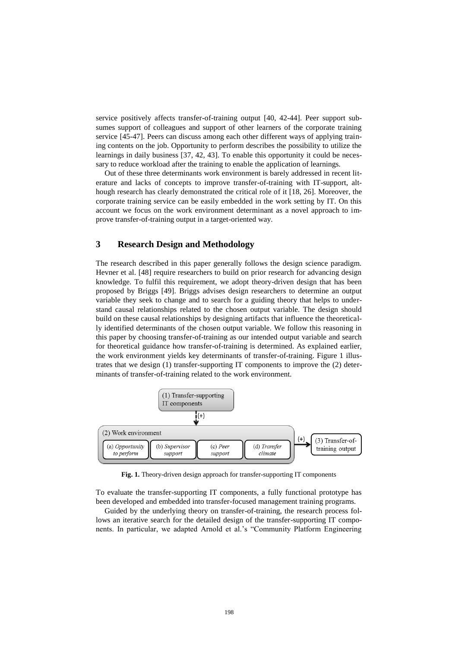service positively affects transfer-of-training output [40, 42-44]. Peer support subsumes support of colleagues and support of other learners of the corporate training service [45-47]. Peers can discuss among each other different ways of applying training contents on the job. Opportunity to perform describes the possibility to utilize the learnings in daily business [37, 42, 43]. To enable this opportunity it could be necessary to reduce workload after the training to enable the application of learnings.

Out of these three determinants work environment is barely addressed in recent literature and lacks of concepts to improve transfer-of-training with IT-support, although research has clearly demonstrated the critical role of it [18, 26]. Moreover, the corporate training service can be easily embedded in the work setting by IT. On this account we focus on the work environment determinant as a novel approach to improve transfer-of-training output in a target-oriented way.

#### **3 Research Design and Methodology**

The research described in this paper generally follows the design science paradigm. Hevner et al. [48] require researchers to build on prior research for advancing design knowledge. To fulfil this requirement, we adopt theory-driven design that has been proposed by Briggs [49]. Briggs advises design researchers to determine an output variable they seek to change and to search for a guiding theory that helps to understand causal relationships related to the chosen output variable. The design should build on these causal relationships by designing artifacts that influence the theoretically identified determinants of the chosen output variable. We follow this reasoning in this paper by choosing transfer-of-training as our intended output variable and search for theoretical guidance how transfer-of-training is determined. As explained earlier, the work environment yields key determinants of transfer-of-training. Figure 1 illustrates that we design (1) transfer-supporting IT components to improve the (2) determinants of transfer-of-training related to the work environment.



**Fig. 1.** Theory-driven design approach for transfer-supporting IT components

To evaluate the transfer-supporting IT components, a fully functional prototype has been developed and embedded into transfer-focused management training programs.

Guided by the underlying theory on transfer-of-training, the research process follows an iterative search for the detailed design of the transfer-supporting IT components. In particular, we adapted Arnold et al.'s "Community Platform Engineering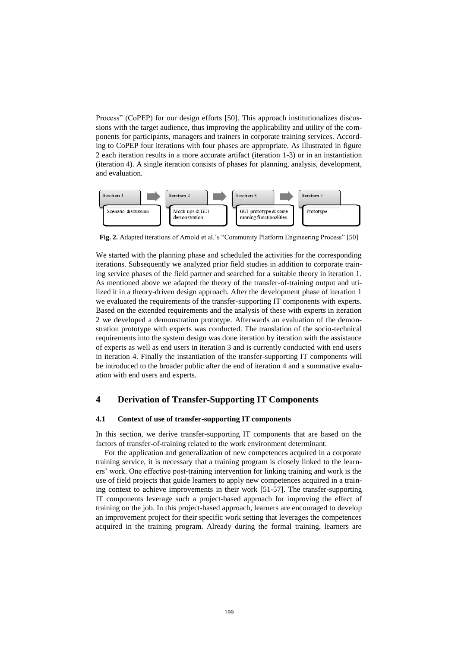Process" (CoPEP) for our design efforts [50]. This approach institutionalizes discussions with the target audience, thus improving the applicability and utility of the components for participants, managers and trainers in corporate training services. According to CoPEP four iterations with four phases are appropriate. As illustrated in figure 2 each iteration results in a more accurate artifact (iteration 1-3) or in an instantiation (iteration 4). A single iteration consists of phases for planning, analysis, development, and evaluation.



**Fig. 2.** Adapted iterations of Arnold et al.'s "Community Platform Engineering Process" [50]

We started with the planning phase and scheduled the activities for the corresponding iterations. Subsequently we analyzed prior field studies in addition to corporate training service phases of the field partner and searched for a suitable theory in iteration 1. As mentioned above we adapted the theory of the transfer-of-training output and utilized it in a theory-driven design approach. After the development phase of iteration 1 we evaluated the requirements of the transfer-supporting IT components with experts. Based on the extended requirements and the analysis of these with experts in iteration 2 we developed a demonstration prototype. Afterwards an evaluation of the demonstration prototype with experts was conducted. The translation of the socio-technical requirements into the system design was done iteration by iteration with the assistance of experts as well as end users in iteration 3 and is currently conducted with end users in iteration 4. Finally the instantiation of the transfer-supporting IT components will be introduced to the broader public after the end of iteration 4 and a summative evaluation with end users and experts.

# **4 Derivation of Transfer-Supporting IT Components**

#### **4.1 Context of use of transfer-supporting IT components**

In this section, we derive transfer-supporting IT components that are based on the factors of transfer-of-training related to the work environment determinant.

For the application and generalization of new competences acquired in a corporate training service, it is necessary that a training program is closely linked to the learners' work. One effective post-training intervention for linking training and work is the use of field projects that guide learners to apply new competences acquired in a training context to achieve improvements in their work [51-57]. The transfer-supporting IT components leverage such a project-based approach for improving the effect of training on the job. In this project-based approach, learners are encouraged to develop an improvement project for their specific work setting that leverages the competences acquired in the training program. Already during the formal training, learners are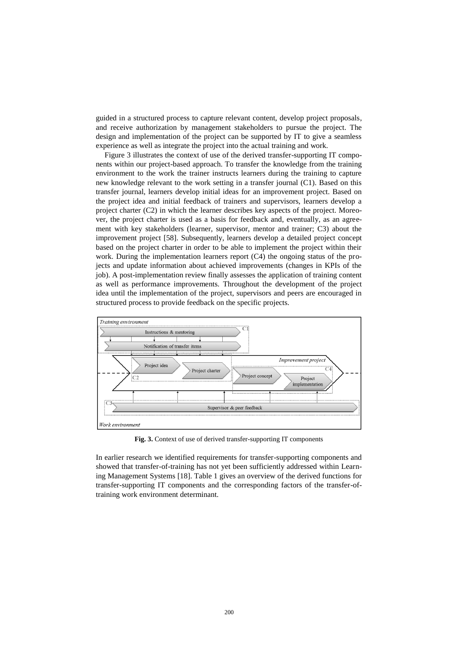guided in a structured process to capture relevant content, develop project proposals, and receive authorization by management stakeholders to pursue the project. The design and implementation of the project can be supported by IT to give a seamless experience as well as integrate the project into the actual training and work.

Figure 3 illustrates the context of use of the derived transfer-supporting IT components within our project-based approach. To transfer the knowledge from the training environment to the work the trainer instructs learners during the training to capture new knowledge relevant to the work setting in a transfer journal (C1). Based on this transfer journal, learners develop initial ideas for an improvement project. Based on the project idea and initial feedback of trainers and supervisors, learners develop a project charter (C2) in which the learner describes key aspects of the project. Moreover, the project charter is used as a basis for feedback and, eventually, as an agreement with key stakeholders (learner, supervisor, mentor and trainer; C3) about the improvement project [58]. Subsequently, learners develop a detailed project concept based on the project charter in order to be able to implement the project within their work. During the implementation learners report (C4) the ongoing status of the projects and update information about achieved improvements (changes in KPIs of the job). A post-implementation review finally assesses the application of training content as well as performance improvements. Throughout the development of the project idea until the implementation of the project, supervisors and peers are encouraged in structured process to provide feedback on the specific projects.



**Fig. 3.** Context of use of derived transfer-supporting IT components

In earlier research we identified requirements for transfer-supporting components and showed that transfer-of-training has not yet been sufficiently addressed within Learning Management Systems [18]. Table 1 gives an overview of the derived functions for transfer-supporting IT components and the corresponding factors of the transfer-oftraining work environment determinant.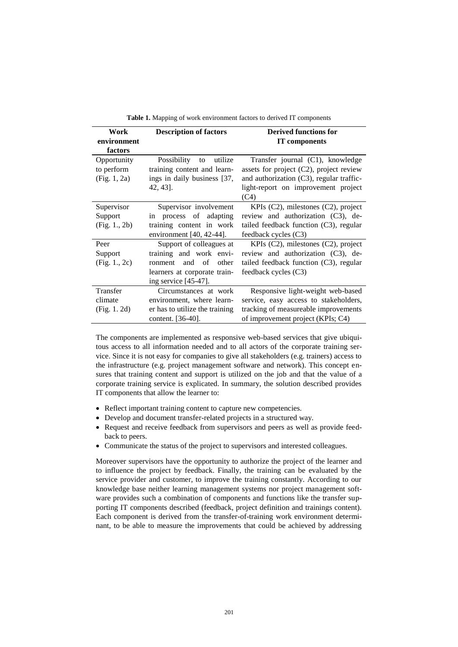| Work<br>environment<br>factors | <b>Description of factors</b>  | <b>Derived functions for</b><br><b>IT</b> components |
|--------------------------------|--------------------------------|------------------------------------------------------|
| Opportunity                    | Possibility<br>utilize<br>to   | Transfer journal (C1), knowledge                     |
| to perform                     | training content and learn-    | assets for project (C2), project review              |
| (Fig. 1, 2a)                   | ings in daily business [37,    | and authorization (C3), regular traffic-             |
|                                | 42, 43].                       | light-report on improvement project                  |
|                                |                                | (C4)                                                 |
| Supervisor                     | Supervisor involvement         | KPIs $(C2)$ , milestones $(C2)$ , project            |
| Support                        | in process of adapting         | review and authorization (C3), de-                   |
| (Fig. 1., 2b)                  | training content in work       | tailed feedback function $(C3)$ , regular            |
|                                | environment $[40, 42-44]$ .    | feedback cycles (C3)                                 |
| Peer                           | Support of colleagues at       | KPIs (C2), milestones (C2), project                  |
| Support                        | training and work envi-        | review and authorization (C3), de-                   |
| (Fig. 1., 2c)                  | ronment and of<br>other        | tailed feedback function (C3), regular               |
|                                | learners at corporate train-   | feedback cycles (C3)                                 |
|                                | ing service [45-47].           |                                                      |
| Transfer                       | Circumstances at work          | Responsive light-weight web-based                    |
| climate                        | environment, where learn-      | service, easy access to stakeholders,                |
| (Fig. 1.2d)                    | er has to utilize the training | tracking of measureable improvements                 |
|                                | content. [36-40].              | of improvement project (KPIs; C4)                    |

**Table 1.** Mapping of work environment factors to derived IT components

The components are implemented as responsive web-based services that give ubiquitous access to all information needed and to all actors of the corporate training service. Since it is not easy for companies to give all stakeholders (e.g. trainers) access to the infrastructure (e.g. project management software and network). This concept ensures that training content and support is utilized on the job and that the value of a corporate training service is explicated. In summary, the solution described provides IT components that allow the learner to:

- Reflect important training content to capture new competencies.
- Develop and document transfer-related projects in a structured way.
- Request and receive feedback from supervisors and peers as well as provide feedback to peers.
- Communicate the status of the project to supervisors and interested colleagues.

Moreover supervisors have the opportunity to authorize the project of the learner and to influence the project by feedback. Finally, the training can be evaluated by the service provider and customer, to improve the training constantly. According to our knowledge base neither learning management systems nor project management software provides such a combination of components and functions like the transfer supporting IT components described (feedback, project definition and trainings content). Each component is derived from the transfer-of-training work environment determinant, to be able to measure the improvements that could be achieved by addressing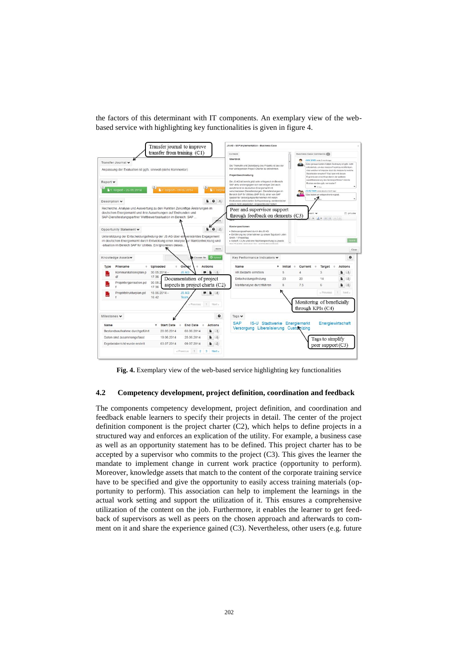the factors of this determinant with IT components. An exemplary view of the webbased service with highlighting key functionalities is given in figure 4.



**Fig. 4.** Exemplary view of the web-based service highlighting key functionalities

#### **4.2 Competency development, project definition, coordination and feedback**

The components competency development, project definition, and coordination and feedback enable learners to specify their projects in detail. The center of the project definition component is the project charter  $(C2)$ , which helps to define projects in a structured way and enforces an explication of the utility. For example, a business case as well as an opportunity statement has to be defined. This project charter has to be accepted by a supervisor who commits to the project (C3). This gives the learner the mandate to implement change in current work practice (opportunity to perform). Moreover, knowledge assets that match to the content of the corporate training service have to be specified and give the opportunity to easily access training materials (opportunity to perform). This association can help to implement the learnings in the actual work setting and support the utilization of it. This ensures a comprehensive utilization of the content on the job. Furthermore, it enables the learner to get feedback of supervisors as well as peers on the chosen approach and afterwards to comment on it and share the experience gained (C3). Nevertheless, other users (e.g. future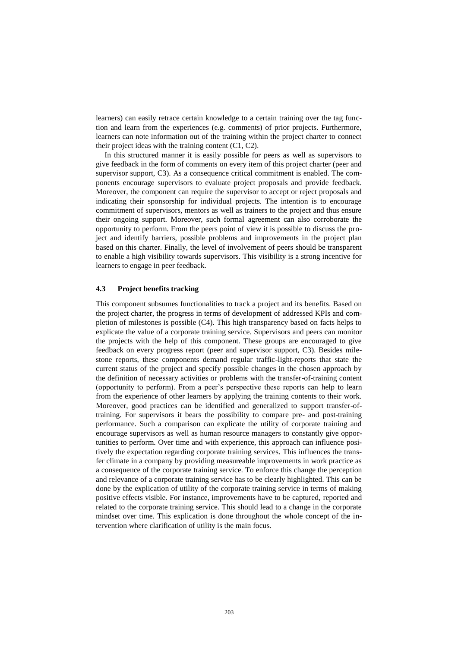learners) can easily retrace certain knowledge to a certain training over the tag function and learn from the experiences (e.g. comments) of prior projects. Furthermore, learners can note information out of the training within the project charter to connect their project ideas with the training content (C1, C2).

In this structured manner it is easily possible for peers as well as supervisors to give feedback in the form of comments on every item of this project charter (peer and supervisor support, C3). As a consequence critical commitment is enabled. The components encourage supervisors to evaluate project proposals and provide feedback. Moreover, the component can require the supervisor to accept or reject proposals and indicating their sponsorship for individual projects. The intention is to encourage commitment of supervisors, mentors as well as trainers to the project and thus ensure their ongoing support. Moreover, such formal agreement can also corroborate the opportunity to perform. From the peers point of view it is possible to discuss the project and identify barriers, possible problems and improvements in the project plan based on this charter. Finally, the level of involvement of peers should be transparent to enable a high visibility towards supervisors. This visibility is a strong incentive for learners to engage in peer feedback.

#### **4.3 Project benefits tracking**

This component subsumes functionalities to track a project and its benefits. Based on the project charter, the progress in terms of development of addressed KPIs and completion of milestones is possible (C4). This high transparency based on facts helps to explicate the value of a corporate training service. Supervisors and peers can monitor the projects with the help of this component. These groups are encouraged to give feedback on every progress report (peer and supervisor support, C3). Besides milestone reports, these components demand regular traffic-light-reports that state the current status of the project and specify possible changes in the chosen approach by the definition of necessary activities or problems with the transfer-of-training content (opportunity to perform). From a peer's perspective these reports can help to learn from the experience of other learners by applying the training contents to their work. Moreover, good practices can be identified and generalized to support transfer-oftraining. For supervisors it bears the possibility to compare pre- and post-training performance. Such a comparison can explicate the utility of corporate training and encourage supervisors as well as human resource managers to constantly give opportunities to perform. Over time and with experience, this approach can influence positively the expectation regarding corporate training services. This influences the transfer climate in a company by providing measureable improvements in work practice as a consequence of the corporate training service. To enforce this change the perception and relevance of a corporate training service has to be clearly highlighted. This can be done by the explication of utility of the corporate training service in terms of making positive effects visible. For instance, improvements have to be captured, reported and related to the corporate training service. This should lead to a change in the corporate mindset over time. This explication is done throughout the whole concept of the intervention where clarification of utility is the main focus.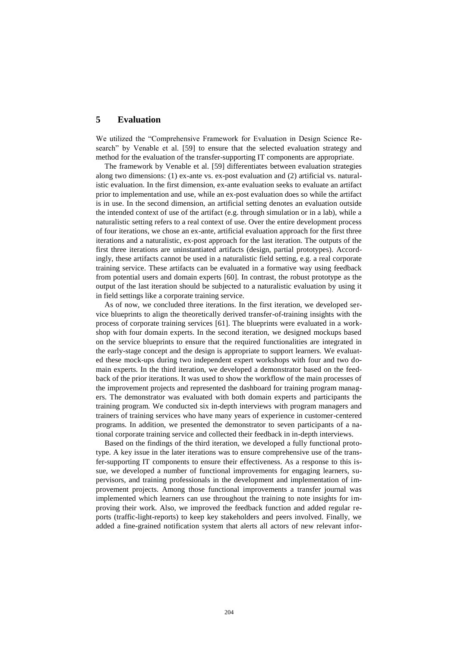#### **5 Evaluation**

We utilized the "Comprehensive Framework for Evaluation in Design Science Research" by Venable et al. [59] to ensure that the selected evaluation strategy and method for the evaluation of the transfer-supporting IT components are appropriate.

The framework by Venable et al. [59] differentiates between evaluation strategies along two dimensions: (1) ex-ante vs. ex-post evaluation and (2) artificial vs. naturalistic evaluation. In the first dimension, ex-ante evaluation seeks to evaluate an artifact prior to implementation and use, while an ex-post evaluation does so while the artifact is in use. In the second dimension, an artificial setting denotes an evaluation outside the intended context of use of the artifact (e.g. through simulation or in a lab), while a naturalistic setting refers to a real context of use. Over the entire development process of four iterations, we chose an ex-ante, artificial evaluation approach for the first three iterations and a naturalistic, ex-post approach for the last iteration. The outputs of the first three iterations are uninstantiated artifacts (design, partial prototypes). Accordingly, these artifacts cannot be used in a naturalistic field setting, e.g. a real corporate training service. These artifacts can be evaluated in a formative way using feedback from potential users and domain experts [60]. In contrast, the robust prototype as the output of the last iteration should be subjected to a naturalistic evaluation by using it in field settings like a corporate training service.

As of now, we concluded three iterations. In the first iteration, we developed service blueprints to align the theoretically derived transfer-of-training insights with the process of corporate training services [61]. The blueprints were evaluated in a workshop with four domain experts. In the second iteration, we designed mockups based on the service blueprints to ensure that the required functionalities are integrated in the early-stage concept and the design is appropriate to support learners. We evaluated these mock-ups during two independent expert workshops with four and two domain experts. In the third iteration, we developed a demonstrator based on the feedback of the prior iterations. It was used to show the workflow of the main processes of the improvement projects and represented the dashboard for training program managers. The demonstrator was evaluated with both domain experts and participants the training program. We conducted six in-depth interviews with program managers and trainers of training services who have many years of experience in customer-centered programs. In addition, we presented the demonstrator to seven participants of a national corporate training service and collected their feedback in in-depth interviews.

Based on the findings of the third iteration, we developed a fully functional prototype. A key issue in the later iterations was to ensure comprehensive use of the transfer-supporting IT components to ensure their effectiveness. As a response to this issue, we developed a number of functional improvements for engaging learners, supervisors, and training professionals in the development and implementation of improvement projects. Among those functional improvements a transfer journal was implemented which learners can use throughout the training to note insights for improving their work. Also, we improved the feedback function and added regular reports (traffic-light-reports) to keep key stakeholders and peers involved. Finally, we added a fine-grained notification system that alerts all actors of new relevant infor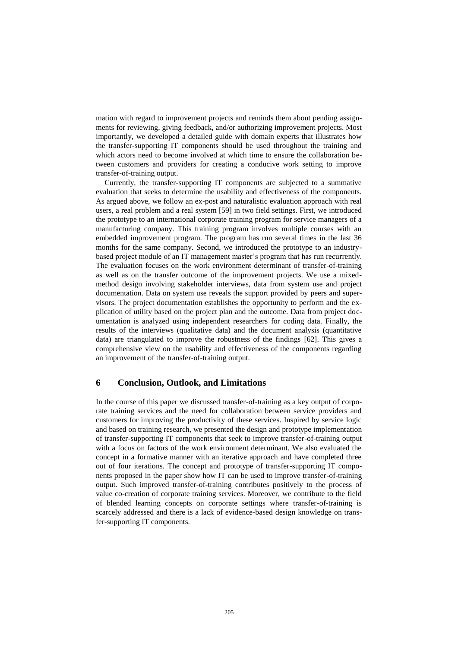mation with regard to improvement projects and reminds them about pending assignments for reviewing, giving feedback, and/or authorizing improvement projects. Most importantly, we developed a detailed guide with domain experts that illustrates how the transfer-supporting IT components should be used throughout the training and which actors need to become involved at which time to ensure the collaboration between customers and providers for creating a conducive work setting to improve transfer-of-training output.

Currently, the transfer-supporting IT components are subjected to a summative evaluation that seeks to determine the usability and effectiveness of the components. As argued above, we follow an ex-post and naturalistic evaluation approach with real users, a real problem and a real system [59] in two field settings. First, we introduced the prototype to an international corporate training program for service managers of a manufacturing company. This training program involves multiple courses with an embedded improvement program. The program has run several times in the last 36 months for the same company. Second, we introduced the prototype to an industrybased project module of an IT management master's program that has run recurrently. The evaluation focuses on the work environment determinant of transfer-of-training as well as on the transfer outcome of the improvement projects. We use a mixedmethod design involving stakeholder interviews, data from system use and project documentation. Data on system use reveals the support provided by peers and supervisors. The project documentation establishes the opportunity to perform and the explication of utility based on the project plan and the outcome. Data from project documentation is analyzed using independent researchers for coding data. Finally, the results of the interviews (qualitative data) and the document analysis (quantitative data) are triangulated to improve the robustness of the findings [62]. This gives a comprehensive view on the usability and effectiveness of the components regarding an improvement of the transfer-of-training output.

## **6 Conclusion, Outlook, and Limitations**

In the course of this paper we discussed transfer-of-training as a key output of corporate training services and the need for collaboration between service providers and customers for improving the productivity of these services. Inspired by service logic and based on training research, we presented the design and prototype implementation of transfer-supporting IT components that seek to improve transfer-of-training output with a focus on factors of the work environment determinant. We also evaluated the concept in a formative manner with an iterative approach and have completed three out of four iterations. The concept and prototype of transfer-supporting IT components proposed in the paper show how IT can be used to improve transfer-of-training output. Such improved transfer-of-training contributes positively to the process of value co-creation of corporate training services. Moreover, we contribute to the field of blended learning concepts on corporate settings where transfer-of-training is scarcely addressed and there is a lack of evidence-based design knowledge on transfer-supporting IT components.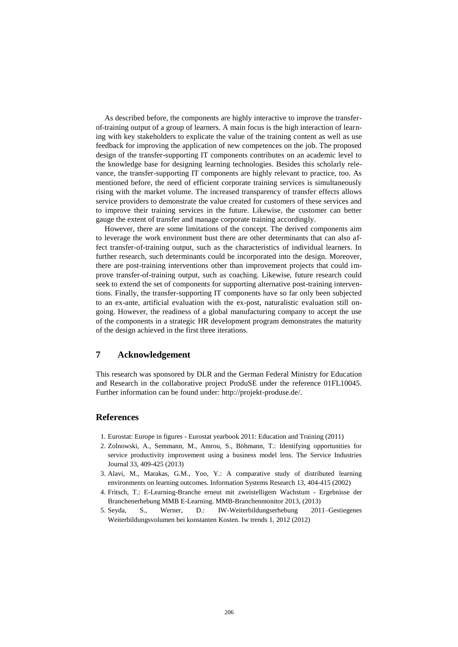As described before, the components are highly interactive to improve the transferof-training output of a group of learners. A main focus is the high interaction of learning with key stakeholders to explicate the value of the training content as well as use feedback for improving the application of new competences on the job. The proposed design of the transfer-supporting IT components contributes on an academic level to the knowledge base for designing learning technologies. Besides this scholarly relevance, the transfer-supporting IT components are highly relevant to practice, too. As mentioned before, the need of efficient corporate training services is simultaneously rising with the market volume. The increased transparency of transfer effects allows service providers to demonstrate the value created for customers of these services and to improve their training services in the future. Likewise, the customer can better gauge the extent of transfer and manage corporate training accordingly.

However, there are some limitations of the concept. The derived components aim to leverage the work environment bust there are other determinants that can also affect transfer-of-training output, such as the characteristics of individual learners. In further research, such determinants could be incorporated into the design. Moreover, there are post-training interventions other than improvement projects that could improve transfer-of-training output, such as coaching. Likewise, future research could seek to extend the set of components for supporting alternative post-training interventions. Finally, the transfer-supporting IT components have so far only been subjected to an ex-ante, artificial evaluation with the ex-post, naturalistic evaluation still ongoing. However, the readiness of a global manufacturing company to accept the use of the components in a strategic HR development program demonstrates the maturity of the design achieved in the first three iterations.

## **7 Acknowledgement**

This research was sponsored by DLR and the German Federal Ministry for Education and Research in the collaborative project ProduSE under the reference 01FL10045. Further information can be found under: http://projekt-produse.de/.

# **References**

- 1. Eurostat: Europe in figures Eurostat yearbook 2011: Education and Training (2011)
- 2. Zolnowski, A., Semmann, M., Amrou, S., Böhmann, T.: Identifying opportunities for service productivity improvement using a business model lens. The Service Industries Journal 33, 409-425 (2013)
- 3. Alavi, M., Marakas, G.M., Yoo, Y.: A comparative study of distributed learning environments on learning outcomes. Information Systems Research 13, 404-415 (2002)
- 4. Fritsch, T.: E-Learning-Branche erneut mit zweistelligem Wachstum Ergebnisse der Branchenerhebung MMB E-Learning. MMB-Branchenmonitor 2013, (2013)
- 5. Seyda, S., Werner, D.: IW-Weiterbildungserhebung 2011–Gestiegenes Weiterbildungsvolumen bei konstanten Kosten. Iw trends 1, 2012 (2012)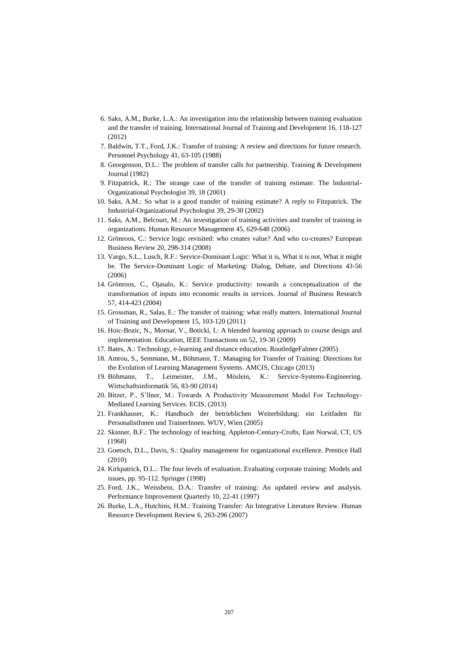- 6. Saks, A.M., Burke, L.A.: An investigation into the relationship between training evaluation and the transfer of training. International Journal of Training and Development 16, 118-127 (2012)
- 7. Baldwin, T.T., Ford, J.K.: Transfer of training: A review and directions for future research. Personnel Psychology 41, 63-105 (1988)
- 8. Georgenson, D.L.: The problem of transfer calls for partnership. Training & Development Journal (1982)
- 9. Fitzpatrick, R.: The strange case of the transfer of training estimate. The Industrial-Organizational Psychologist 39, 18 (2001)
- 10. Saks, A.M.: So what is a good transfer of training estimate? A reply to Fitzpatrick. The Industrial-Organizational Psychologist 39, 29-30 (2002)
- 11. Saks, A.M., Belcourt, M.: An investigation of training activities and transfer of training in organizations. Human Resource Management 45, 629-648 (2006)
- 12. Grönroos, C.: Service logic revisited: who creates value? And who co-creates? European Business Review 20, 298-314 (2008)
- 13. Vargo, S.L., Lusch, R.F.: Service-Dominant Logic: What it is, What it is not, What it might be. The Service-Dominant Logic of Marketing: Dialog, Debate, and Directions 43-56 (2006)
- 14. Grönroos, C., Ojasalo, K.: Service productivity: towards a conceptualization of the transformation of inputs into economic results in services. Journal of Business Research 57, 414-423 (2004)
- 15. Grossman, R., Salas, E.: The transfer of training: what really matters. International Journal of Training and Development 15, 103-120 (2011)
- 16. Hoic-Bozic, N., Mornar, V., Boticki, I.: A blended learning approach to course design and implementation. Education, IEEE Transactions on 52, 19-30 (2009)
- 17. Bates, A.: Technology, e-learning and distance education. RoutledgeFalmer (2005)
- 18. Amrou, S., Semmann, M., Böhmann, T.: Managing for Transfer of Training: Directions for the Evolution of Learning Management Systems. AMCIS, Chicago (2013)
- 19. Böhmann, T., Leimeister, J.M., Möslein, K.: Service-Systems-Engineering. Wirtschaftsinformatik 56, 83-90 (2014)
- 20. Bitzer, P., Sˆllner, M.: Towards A Productivity Measurement Model For Technology-Mediated Learning Services. ECIS, (2013)
- 21. Frankhauser, K.: Handbuch der betrieblichen Weiterbildung: ein Leitfaden für PersonalistInnen und TrainerInnen. WUV, Wien (2005)
- 22. Skinner, B.F.: The technology of teaching. Appleton-Century-Crofts, East Norwal, CT, US (1968)
- 23. Goetsch, D.L., Davis, S.: Quality management for organizational excellence. Prentice Hall (2010)
- 24. Kirkpatrick, D.L.: The four levels of evaluation. Evaluating corporate training: Models and issues, pp. 95-112. Springer (1998)
- 25. Ford, J.K., Weissbein, D.A.: Transfer of training: An updated review and analysis. Performance Improvement Quarterly 10, 22-41 (1997)
- 26. Burke, L.A., Hutchins, H.M.: Training Transfer: An Integrative Literature Review. Human Resource Development Review 6, 263-296 (2007)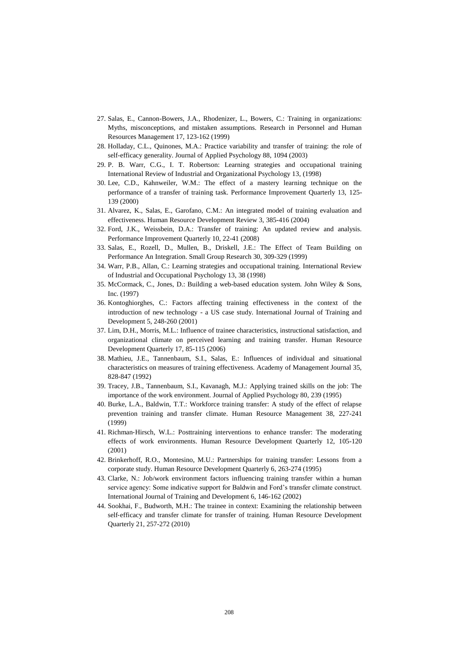- 27. Salas, E., Cannon-Bowers, J.A., Rhodenizer, L., Bowers, C.: Training in organizations: Myths, misconceptions, and mistaken assumptions. Research in Personnel and Human Resources Management 17, 123-162 (1999)
- 28. Holladay, C.L., Quinones, M.A.: Practice variability and transfer of training: the role of self-efficacy generality. Journal of Applied Psychology 88, 1094 (2003)
- 29. P. B. Warr, C.G., I. T. Robertson: Learning strategies and occupational training International Review of Industrial and Organizational Psychology 13, (1998)
- 30. Lee, C.D., Kahnweiler, W.M.: The effect of a mastery learning technique on the performance of a transfer of training task. Performance Improvement Quarterly 13, 125- 139 (2000)
- 31. Alvarez, K., Salas, E., Garofano, C.M.: An integrated model of training evaluation and effectiveness. Human Resource Development Review 3, 385-416 (2004)
- 32. Ford, J.K., Weissbein, D.A.: Transfer of training: An updated review and analysis. Performance Improvement Quarterly 10, 22-41 (2008)
- 33. Salas, E., Rozell, D., Mullen, B., Driskell, J.E.: The Effect of Team Building on Performance An Integration. Small Group Research 30, 309-329 (1999)
- 34. Warr, P.B., Allan, C.: Learning strategies and occupational training. International Review of Industrial and Occupational Psychology 13, 38 (1998)
- 35. McCormack, C., Jones, D.: Building a web-based education system. John Wiley & Sons, Inc. (1997)
- 36. Kontoghiorghes, C.: Factors affecting training effectiveness in the context of the introduction of new technology - a US case study. International Journal of Training and Development 5, 248-260 (2001)
- 37. Lim, D.H., Morris, M.L.: Influence of trainee characteristics, instructional satisfaction, and organizational climate on perceived learning and training transfer. Human Resource Development Quarterly 17, 85-115 (2006)
- 38. Mathieu, J.E., Tannenbaum, S.I., Salas, E.: Influences of individual and situational characteristics on measures of training effectiveness. Academy of Management Journal 35, 828-847 (1992)
- 39. Tracey, J.B., Tannenbaum, S.I., Kavanagh, M.J.: Applying trained skills on the job: The importance of the work environment. Journal of Applied Psychology 80, 239 (1995)
- 40. Burke, L.A., Baldwin, T.T.: Workforce training transfer: A study of the effect of relapse prevention training and transfer climate. Human Resource Management 38, 227-241 (1999)
- 41. Richman‐Hirsch, W.L.: Posttraining interventions to enhance transfer: The moderating effects of work environments. Human Resource Development Quarterly 12, 105-120 (2001)
- 42. Brinkerhoff, R.O., Montesino, M.U.: Partnerships for training transfer: Lessons from a corporate study. Human Resource Development Quarterly 6, 263-274 (1995)
- 43. Clarke, N.: Job/work environment factors influencing training transfer within a human service agency: Some indicative support for Baldwin and Ford's transfer climate construct. International Journal of Training and Development 6, 146-162 (2002)
- 44. Sookhai, F., Budworth, M.H.: The trainee in context: Examining the relationship between self‐efficacy and transfer climate for transfer of training. Human Resource Development Quarterly 21, 257-272 (2010)